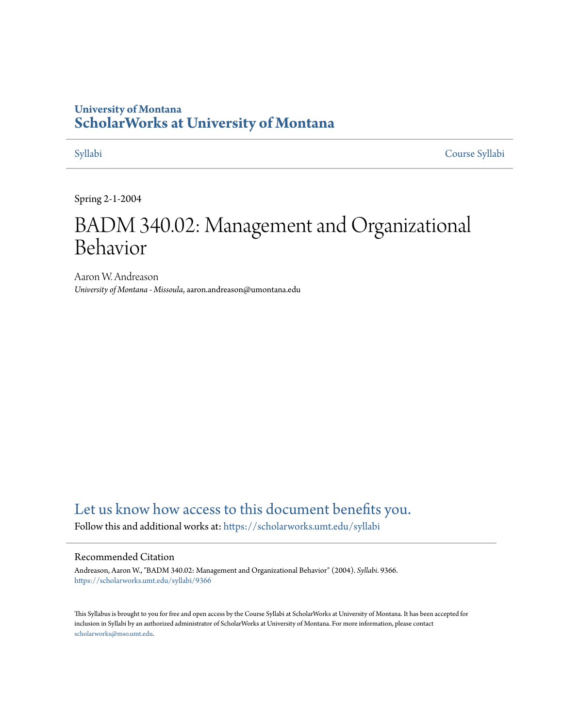## **University of Montana [ScholarWorks at University of Montana](https://scholarworks.umt.edu?utm_source=scholarworks.umt.edu%2Fsyllabi%2F9366&utm_medium=PDF&utm_campaign=PDFCoverPages)**

[Syllabi](https://scholarworks.umt.edu/syllabi?utm_source=scholarworks.umt.edu%2Fsyllabi%2F9366&utm_medium=PDF&utm_campaign=PDFCoverPages) [Course Syllabi](https://scholarworks.umt.edu/course_syllabi?utm_source=scholarworks.umt.edu%2Fsyllabi%2F9366&utm_medium=PDF&utm_campaign=PDFCoverPages)

Spring 2-1-2004

# BADM 340.02: Management and Organizational Behavior

Aaron W. Andreason *University of Montana - Missoula*, aaron.andreason@umontana.edu

## [Let us know how access to this document benefits you.](https://goo.gl/forms/s2rGfXOLzz71qgsB2)

Follow this and additional works at: [https://scholarworks.umt.edu/syllabi](https://scholarworks.umt.edu/syllabi?utm_source=scholarworks.umt.edu%2Fsyllabi%2F9366&utm_medium=PDF&utm_campaign=PDFCoverPages)

#### Recommended Citation

Andreason, Aaron W., "BADM 340.02: Management and Organizational Behavior" (2004). *Syllabi*. 9366. [https://scholarworks.umt.edu/syllabi/9366](https://scholarworks.umt.edu/syllabi/9366?utm_source=scholarworks.umt.edu%2Fsyllabi%2F9366&utm_medium=PDF&utm_campaign=PDFCoverPages)

This Syllabus is brought to you for free and open access by the Course Syllabi at ScholarWorks at University of Montana. It has been accepted for inclusion in Syllabi by an authorized administrator of ScholarWorks at University of Montana. For more information, please contact [scholarworks@mso.umt.edu](mailto:scholarworks@mso.umt.edu).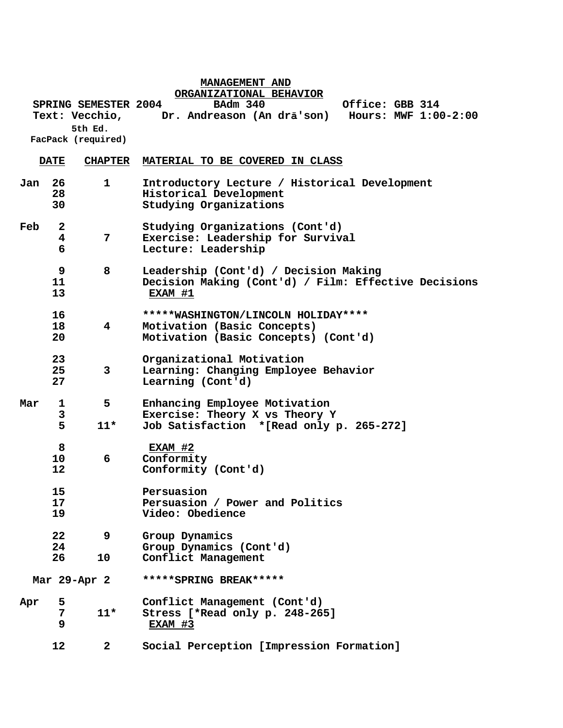|     |                        |                             | MANAGEMENT AND                                                                                             |
|-----|------------------------|-----------------------------|------------------------------------------------------------------------------------------------------------|
|     |                        | <b>SPRING SEMESTER 2004</b> | ORGANIZATIONAL BEHAVIOR<br><b>BAdm 340</b><br>Office: GBB 314                                              |
|     |                        |                             | Hours: MWF 1:00-2:00<br>Text: Vecchio, Dr. Andreason (An drā'son)                                          |
|     |                        | 5th Ed.                     |                                                                                                            |
|     |                        | FacPack (required)          |                                                                                                            |
|     | <b>DATE</b>            | <b>CHAPTER</b>              | MATERIAL TO BE COVERED IN CLASS                                                                            |
| Jan | 26<br>28<br>30         | 1                           | Introductory Lecture / Historical Development<br>Historical Development<br>Studying Organizations          |
| Feb | $\mathbf{2}$<br>4<br>6 | 7                           | Studying Organizations (Cont'd)<br>Exercise: Leadership for Survival<br>Lecture: Leadership                |
|     | 9<br>11<br>13          | 8                           | Leadership (Cont'd) / Decision Making<br>Decision Making (Cont'd) / Film: Effective Decisions<br>EXAM #1   |
|     | 16<br>18<br>20         | 4                           | *****WASHINGTON/LINCOLN HOLIDAY****<br>Motivation (Basic Concepts)<br>Motivation (Basic Concepts) (Cont'd) |
|     | 23<br>25<br>27         | 3                           | Organizational Motivation<br>Learning: Changing Employee Behavior<br>Learning (Cont'd)                     |
| Mar | $\mathbf{1}$           | 5                           | Enhancing Employee Motivation                                                                              |
|     | 3<br>5                 | $11*$                       | Exercise: Theory X vs Theory Y<br>Job Satisfaction *[Read only p. 265-272]                                 |
|     | 8<br>10<br>12          | 6                           | EXAM #2<br>Conformity<br>Conformity (Cont'd)                                                               |
|     | 15<br>17<br>19         |                             | Persuasion<br>Persuasion / Power and Politics<br>Video: Obedience                                          |
|     | 22<br>24               | 9                           | Group Dynamics<br>Group Dynamics (Cont'd)                                                                  |
|     | 26                     | 10                          | Conflict Management                                                                                        |
|     |                        | Mar 29-Apr 2                | *****SPRING BREAK*****                                                                                     |
| Apr | 5                      |                             | Conflict Management (Cont'd)                                                                               |
|     | 7<br>9                 | $11*$                       | Stress [ * Read only p. 248-265]<br>EXAM #3                                                                |
|     | 12                     | $\mathbf{2}$                | Social Perception [Impression Formation]                                                                   |